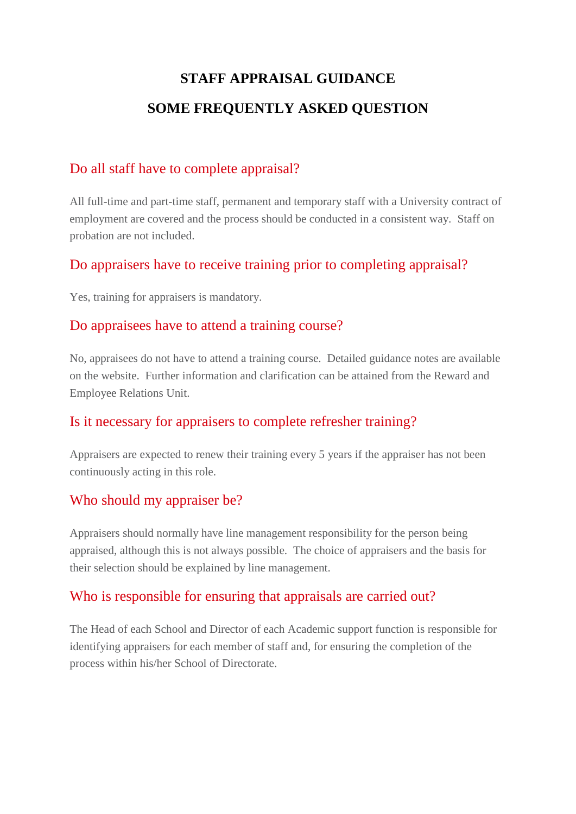# **STAFF APPRAISAL GUIDANCE SOME FREQUENTLY ASKED QUESTION**

## Do all staff have to complete appraisal?

All full-time and part-time staff, permanent and temporary staff with a University contract of employment are covered and the process should be conducted in a consistent way. Staff on probation are not included.

## Do appraisers have to receive training prior to completing appraisal?

Yes, training for appraisers is mandatory.

#### Do appraisees have to attend a training course?

No, appraisees do not have to attend a training course. Detailed guidance notes are available on the website. Further information and clarification can be attained from the Reward and Employee Relations Unit.

### Is it necessary for appraisers to complete refresher training?

Appraisers are expected to renew their training every 5 years if the appraiser has not been continuously acting in this role.

### Who should my appraiser be?

Appraisers should normally have line management responsibility for the person being appraised, although this is not always possible. The choice of appraisers and the basis for their selection should be explained by line management.

### Who is responsible for ensuring that appraisals are carried out?

The Head of each School and Director of each Academic support function is responsible for identifying appraisers for each member of staff and, for ensuring the completion of the process within his/her School of Directorate.